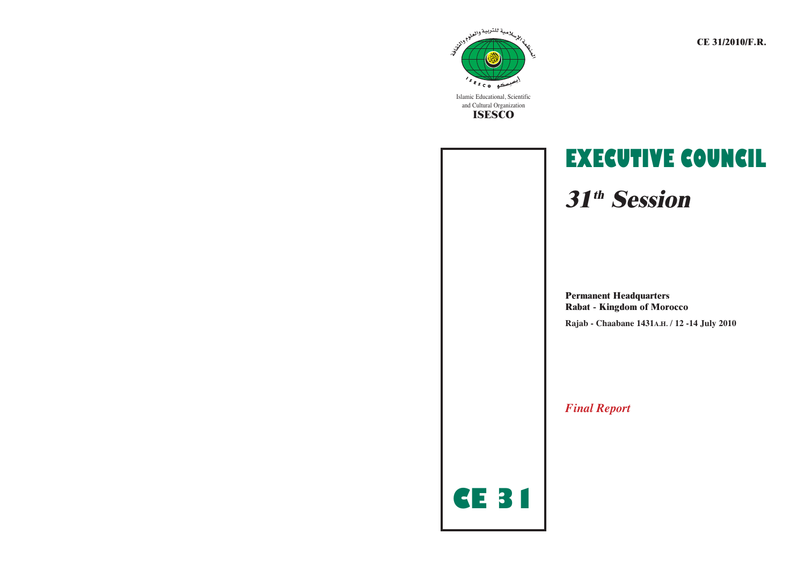**CE 31/2010/F.R.**



Islamic Educational, Scientific and Cultural Organization **ISESCO**



# **EXECUTIVE COUNCIL 31 th Session**

**Permanent Headquarters Rabat - Kingdom of Morocco**

**Rajab - Chaabane 1431A.H. / 12 -14 July 2010**

*Final Report*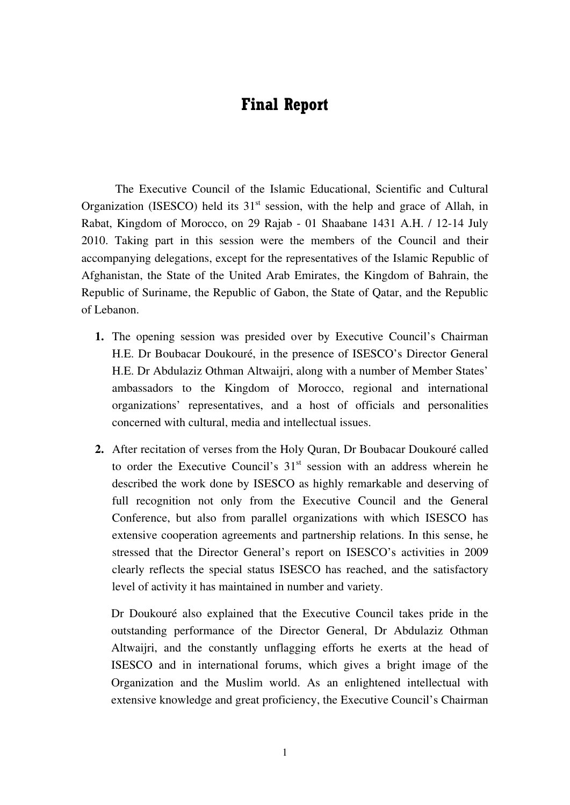# **Final Report**

The Executive Council of the Islamic Educational, Scientific and Cultural Organization (ISESCO) held its  $31<sup>st</sup>$  session, with the help and grace of Allah, in Rabat, Kingdom of Morocco, on 29 Rajab - 01 Shaabane 1431 A.H. / 12-14 July 2010. Taking part in this session were the members of the Council and their accompanying delegations, except for the representatives of the Islamic Republic of Afghanistan, the State of the United Arab Emirates, the Kingdom of Bahrain, the Republic of Suriname, the Republic of Gabon, the State of Qatar, and the Republic of Lebanon.

- **1.** The opening session was presided over by Executive Council's Chairman H.E. Dr Boubacar Doukouré, in the presence of ISESCO's Director General H.E. Dr Abdulaziz Othman Altwaijri, along with a number of Member States' ambassadors to the Kingdom of Morocco, regional and international organizations' representatives, and a host of officials and personalities concerned with cultural, media and intellectual issues.
- **2.** After recitation of verses from the Holy Quran, Dr Boubacar Doukouré called to order the Executive Council's  $31<sup>st</sup>$  session with an address wherein he described the work done by ISESCO as highly remarkable and deserving of full recognition not only from the Executive Council and the General Conference, but also from parallel organizations with which ISESCO has extensive cooperation agreements and partnership relations. In this sense, he stressed that the Director General's report on ISESCO's activities in 2009 clearly reflects the special status ISESCO has reached, and the satisfactory level of activity it has maintained in number and variety.

Dr Doukouré also explained that the Executive Council takes pride in the outstanding performance of the Director General, Dr Abdulaziz Othman Altwaijri, and the constantly unflagging efforts he exerts at the head of ISESCO and in international forums, which gives a bright image of the Organization and the Muslim world. As an enlightened intellectual with extensive knowledge and great proficiency, the Executive Council's Chairman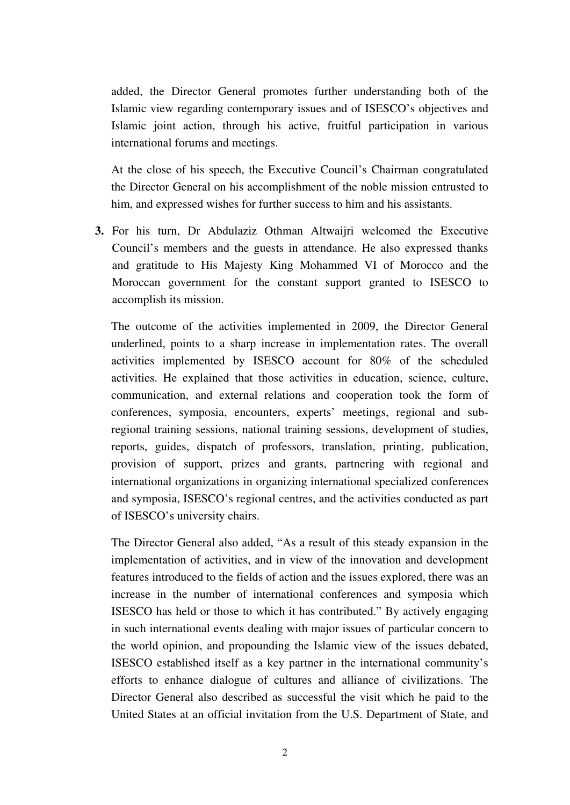added, the Director General promotes further understanding both of the Islamic view regarding contemporary issues and of ISESCO's objectives and Islamic joint action, through his active, fruitful participation in various international forums and meetings.

At the close of his speech, the Executive Council's Chairman congratulated the Director General on his accomplishment of the noble mission entrusted to him, and expressed wishes for further success to him and his assistants.

**3.** For his turn, Dr Abdulaziz Othman Altwaijri welcomed the Executive Council's members and the guests in attendance. He also expressed thanks and gratitude to His Majesty King Mohammed VI of Morocco and the Moroccan government for the constant support granted to ISESCO to accomplish its mission.

The outcome of the activities implemented in 2009, the Director General underlined, points to a sharp increase in implementation rates. The overall activities implemented by ISESCO account for 80% of the scheduled activities. He explained that those activities in education, science, culture, communication, and external relations and cooperation took the form of conferences, symposia, encounters, experts' meetings, regional and subregional training sessions, national training sessions, development of studies, reports, guides, dispatch of professors, translation, printing, publication, provision of support, prizes and grants, partnering with regional and international organizations in organizing international specialized conferences and symposia, ISESCO's regional centres, and the activities conducted as part of ISESCO's university chairs.

The Director General also added, "As a result of this steady expansion in the implementation of activities, and in view of the innovation and development features introduced to the fields of action and the issues explored, there was an increase in the number of international conferences and symposia which ISESCO has held or those to which it has contributed." By actively engaging in such international events dealing with major issues of particular concern to the world opinion, and propounding the Islamic view of the issues debated, ISESCO established itself as a key partner in the international community's efforts to enhance dialogue of cultures and alliance of civilizations. The Director General also described as successful the visit which he paid to the United States at an official invitation from the U.S. Department of State, and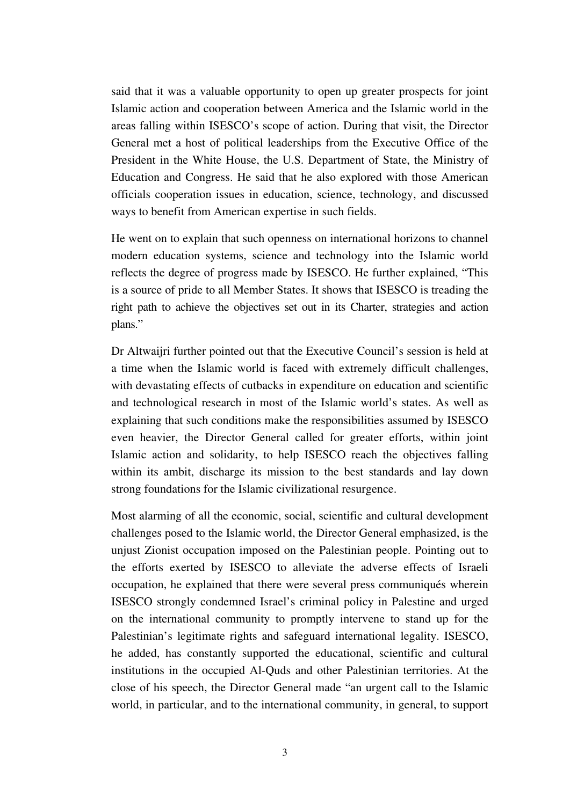said that it was a valuable opportunity to open up greater prospects for joint Islamic action and cooperation between America and the Islamic world in the areas falling within ISESCO's scope of action. During that visit, the Director General met a host of political leaderships from the Executive Office of the President in the White House, the U.S. Department of State, the Ministry of Education and Congress. He said that he also explored with those American officials cooperation issues in education, science, technology, and discussed ways to benefit from American expertise in such fields.

He went on to explain that such openness on international horizons to channel modern education systems, science and technology into the Islamic world reflects the degree of progress made by ISESCO. He further explained, "This is a source of pride to all Member States. It shows that ISESCO is treading the right path to achieve the objectives set out in its Charter, strategies and action plans."

Dr Altwaijri further pointed out that the Executive Council's session is held at a time when the Islamic world is faced with extremely difficult challenges, with devastating effects of cutbacks in expenditure on education and scientific and technological research in most of the Islamic world's states. As well as explaining that such conditions make the responsibilities assumed by ISESCO even heavier, the Director General called for greater efforts, within joint Islamic action and solidarity, to help ISESCO reach the objectives falling within its ambit, discharge its mission to the best standards and lay down strong foundations for the Islamic civilizational resurgence.

Most alarming of all the economic, social, scientific and cultural development challenges posed to the Islamic world, the Director General emphasized, is the unjust Zionist occupation imposed on the Palestinian people. Pointing out to the efforts exerted by ISESCO to alleviate the adverse effects of Israeli occupation, he explained that there were several press communiqués wherein ISESCO strongly condemned Israel's criminal policy in Palestine and urged on the international community to promptly intervene to stand up for the Palestinian's legitimate rights and safeguard international legality. ISESCO, he added, has constantly supported the educational, scientific and cultural institutions in the occupied Al-Quds and other Palestinian territories. At the close of his speech, the Director General made "an urgent call to the Islamic world, in particular, and to the international community, in general, to support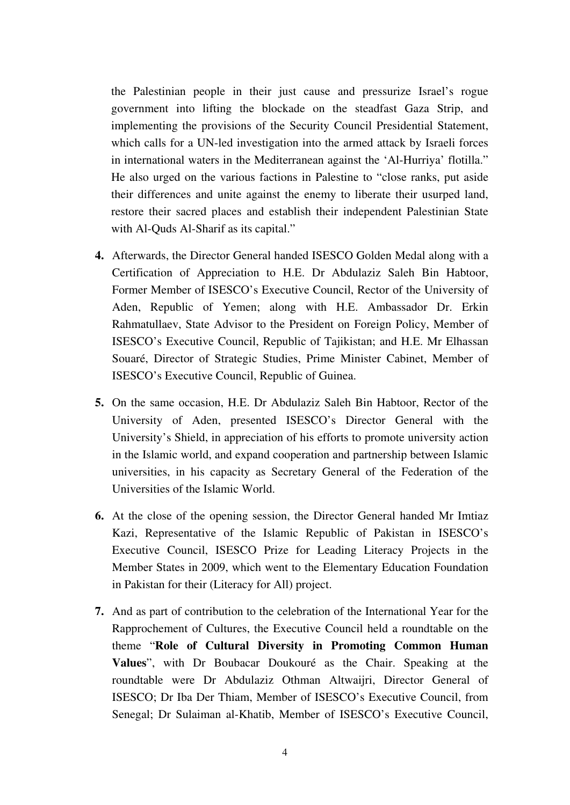the Palestinian people in their just cause and pressurize Israel's rogue government into lifting the blockade on the steadfast Gaza Strip, and implementing the provisions of the Security Council Presidential Statement, which calls for a UN-led investigation into the armed attack by Israeli forces in international waters in the Mediterranean against the 'Al-Hurriya' flotilla." He also urged on the various factions in Palestine to "close ranks, put aside their differences and unite against the enemy to liberate their usurped land, restore their sacred places and establish their independent Palestinian State with Al-Quds Al-Sharif as its capital."

- **4.** Afterwards, the Director General handed ISESCO Golden Medal along with a Certification of Appreciation to H.E. Dr Abdulaziz Saleh Bin Habtoor, Former Member of ISESCO's Executive Council, Rector of the University of Aden, Republic of Yemen; along with H.E. Ambassador Dr. Erkin Rahmatullaev, State Advisor to the President on Foreign Policy, Member of ISESCO's Executive Council, Republic of Tajikistan; and H.E. Mr Elhassan Souaré, Director of Strategic Studies, Prime Minister Cabinet, Member of ISESCO's Executive Council, Republic of Guinea.
- **5.** On the same occasion, H.E. Dr Abdulaziz Saleh Bin Habtoor, Rector of the University of Aden, presented ISESCO's Director General with the University's Shield, in appreciation of his efforts to promote university action in the Islamic world, and expand cooperation and partnership between Islamic universities, in his capacity as Secretary General of the Federation of the Universities of the Islamic World.
- **6.** At the close of the opening session, the Director General handed Mr Imtiaz Kazi, Representative of the Islamic Republic of Pakistan in ISESCO's Executive Council, ISESCO Prize for Leading Literacy Projects in the Member States in 2009, which went to the Elementary Education Foundation in Pakistan for their (Literacy for All) project.
- **7.** And as part of contribution to the celebration of the International Year for the Rapprochement of Cultures, the Executive Council held a roundtable on the theme "**Role of Cultural Diversity in Promoting Common Human Values**", with Dr Boubacar Doukouré as the Chair. Speaking at the roundtable were Dr Abdulaziz Othman Altwaijri, Director General of ISESCO; Dr Iba Der Thiam, Member of ISESCO's Executive Council, from Senegal; Dr Sulaiman al-Khatib, Member of ISESCO's Executive Council,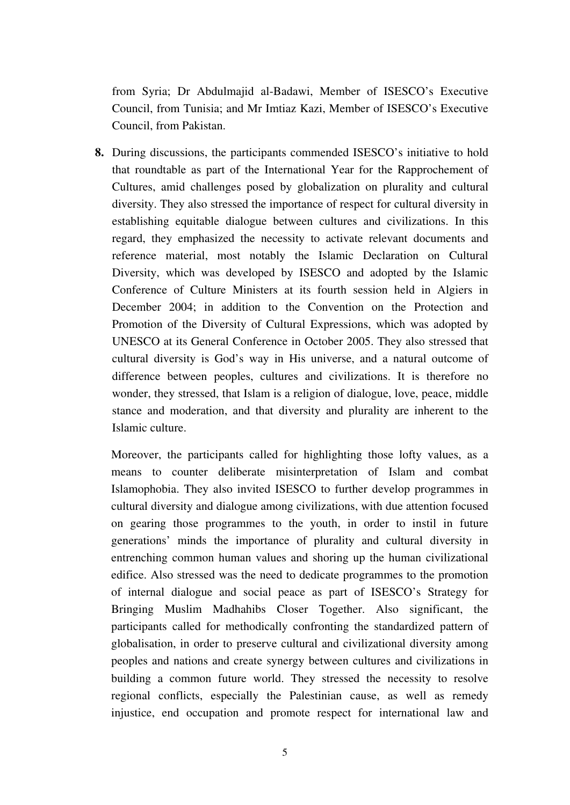from Syria; Dr Abdulmajid al-Badawi, Member of ISESCO's Executive Council, from Tunisia; and Mr Imtiaz Kazi, Member of ISESCO's Executive Council, from Pakistan.

**8.** During discussions, the participants commended ISESCO's initiative to hold that roundtable as part of the International Year for the Rapprochement of Cultures, amid challenges posed by globalization on plurality and cultural diversity. They also stressed the importance of respect for cultural diversity in establishing equitable dialogue between cultures and civilizations. In this regard, they emphasized the necessity to activate relevant documents and reference material, most notably the Islamic Declaration on Cultural Diversity, which was developed by ISESCO and adopted by the Islamic Conference of Culture Ministers at its fourth session held in Algiers in December 2004; in addition to the Convention on the Protection and Promotion of the Diversity of Cultural Expressions, which was adopted by UNESCO at its General Conference in October 2005. They also stressed that cultural diversity is God's way in His universe, and a natural outcome of difference between peoples, cultures and civilizations. It is therefore no wonder, they stressed, that Islam is a religion of dialogue, love, peace, middle stance and moderation, and that diversity and plurality are inherent to the Islamic culture.

Moreover, the participants called for highlighting those lofty values, as a means to counter deliberate misinterpretation of Islam and combat Islamophobia. They also invited ISESCO to further develop programmes in cultural diversity and dialogue among civilizations, with due attention focused on gearing those programmes to the youth, in order to instil in future generations' minds the importance of plurality and cultural diversity in entrenching common human values and shoring up the human civilizational edifice. Also stressed was the need to dedicate programmes to the promotion of internal dialogue and social peace as part of ISESCO's Strategy for Bringing Muslim Madhahibs Closer Together. Also significant, the participants called for methodically confronting the standardized pattern of globalisation, in order to preserve cultural and civilizational diversity among peoples and nations and create synergy between cultures and civilizations in building a common future world. They stressed the necessity to resolve regional conflicts, especially the Palestinian cause, as well as remedy injustice, end occupation and promote respect for international law and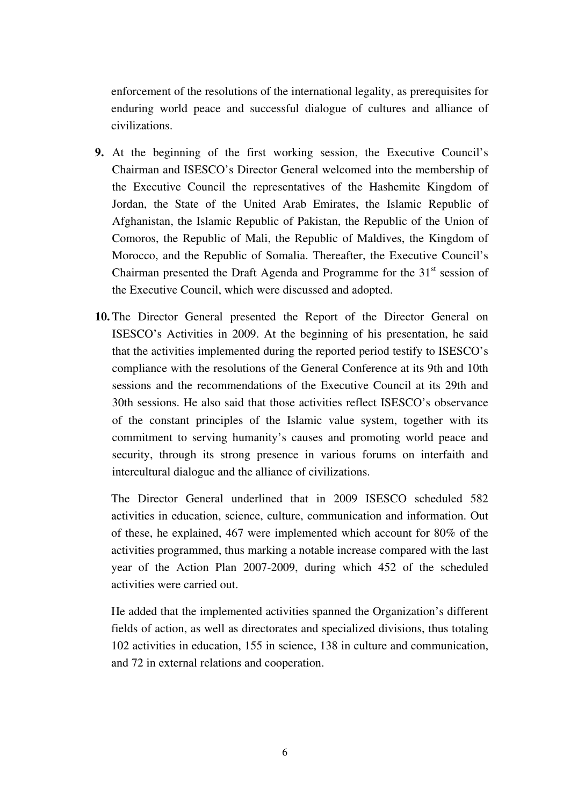enforcement of the resolutions of the international legality, as prerequisites for enduring world peace and successful dialogue of cultures and alliance of civilizations.

- **9.** At the beginning of the first working session, the Executive Council's Chairman and ISESCO's Director General welcomed into the membership of the Executive Council the representatives of the Hashemite Kingdom of Jordan, the State of the United Arab Emirates, the Islamic Republic of Afghanistan, the Islamic Republic of Pakistan, the Republic of the Union of Comoros, the Republic of Mali, the Republic of Maldives, the Kingdom of Morocco, and the Republic of Somalia. Thereafter, the Executive Council's Chairman presented the Draft Agenda and Programme for the  $31<sup>st</sup>$  session of the Executive Council, which were discussed and adopted.
- **10.** The Director General presented the Report of the Director General on ISESCO's Activities in 2009. At the beginning of his presentation, he said that the activities implemented during the reported period testify to ISESCO's compliance with the resolutions of the General Conference at its 9th and 10th sessions and the recommendations of the Executive Council at its 29th and 30th sessions. He also said that those activities reflect ISESCO's observance of the constant principles of the Islamic value system, together with its commitment to serving humanity's causes and promoting world peace and security, through its strong presence in various forums on interfaith and intercultural dialogue and the alliance of civilizations.

The Director General underlined that in 2009 ISESCO scheduled 582 activities in education, science, culture, communication and information. Out of these, he explained, 467 were implemented which account for 80% of the activities programmed, thus marking a notable increase compared with the last year of the Action Plan 2007-2009, during which 452 of the scheduled activities were carried out.

He added that the implemented activities spanned the Organization's different fields of action, as well as directorates and specialized divisions, thus totaling 102 activities in education, 155 in science, 138 in culture and communication, and 72 in external relations and cooperation.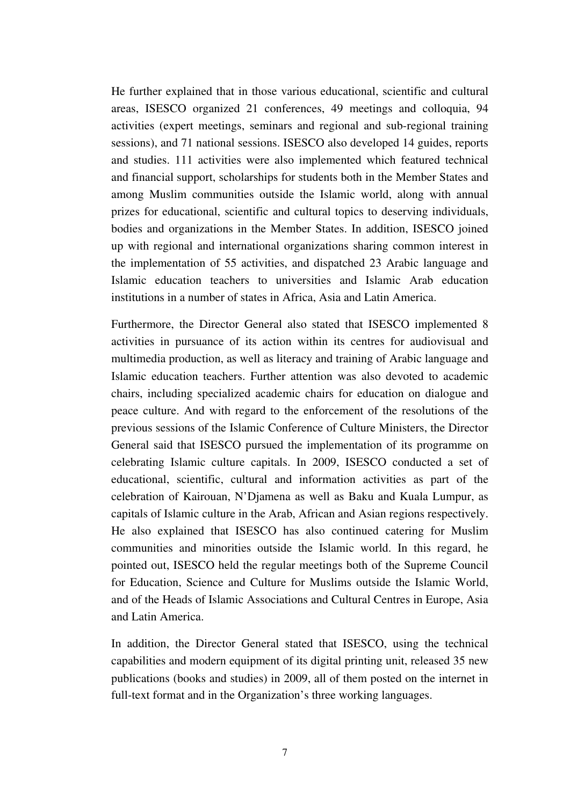He further explained that in those various educational, scientific and cultural areas, ISESCO organized 21 conferences, 49 meetings and colloquia, 94 activities (expert meetings, seminars and regional and sub-regional training sessions), and 71 national sessions. ISESCO also developed 14 guides, reports and studies. 111 activities were also implemented which featured technical and financial support, scholarships for students both in the Member States and among Muslim communities outside the Islamic world, along with annual prizes for educational, scientific and cultural topics to deserving individuals, bodies and organizations in the Member States. In addition, ISESCO joined up with regional and international organizations sharing common interest in the implementation of 55 activities, and dispatched 23 Arabic language and Islamic education teachers to universities and Islamic Arab education institutions in a number of states in Africa, Asia and Latin America.

Furthermore, the Director General also stated that ISESCO implemented 8 activities in pursuance of its action within its centres for audiovisual and multimedia production, as well as literacy and training of Arabic language and Islamic education teachers. Further attention was also devoted to academic chairs, including specialized academic chairs for education on dialogue and peace culture. And with regard to the enforcement of the resolutions of the previous sessions of the Islamic Conference of Culture Ministers, the Director General said that ISESCO pursued the implementation of its programme on celebrating Islamic culture capitals. In 2009, ISESCO conducted a set of educational, scientific, cultural and information activities as part of the celebration of Kairouan, N'Djamena as well as Baku and Kuala Lumpur, as capitals of Islamic culture in the Arab, African and Asian regions respectively. He also explained that ISESCO has also continued catering for Muslim communities and minorities outside the Islamic world. In this regard, he pointed out, ISESCO held the regular meetings both of the Supreme Council for Education, Science and Culture for Muslims outside the Islamic World, and of the Heads of Islamic Associations and Cultural Centres in Europe, Asia and Latin America.

In addition, the Director General stated that ISESCO, using the technical capabilities and modern equipment of its digital printing unit, released 35 new publications (books and studies) in 2009, all of them posted on the internet in full-text format and in the Organization's three working languages.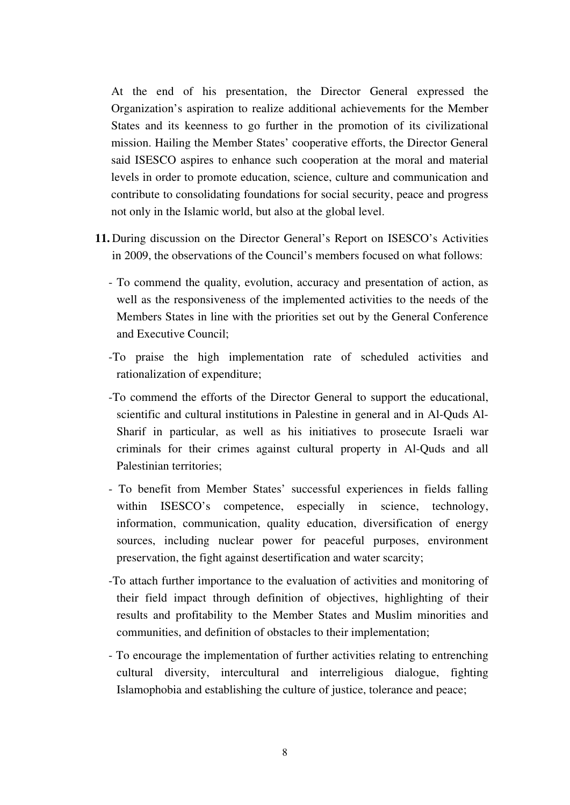At the end of his presentation, the Director General expressed the Organization's aspiration to realize additional achievements for the Member States and its keenness to go further in the promotion of its civilizational mission. Hailing the Member States' cooperative efforts, the Director General said ISESCO aspires to enhance such cooperation at the moral and material levels in order to promote education, science, culture and communication and contribute to consolidating foundations for social security, peace and progress not only in the Islamic world, but also at the global level.

- **11.** During discussion on the Director General's Report on ISESCO's Activities in 2009, the observations of the Council's members focused on what follows:
	- To commend the quality, evolution, accuracy and presentation of action, as well as the responsiveness of the implemented activities to the needs of the Members States in line with the priorities set out by the General Conference and Executive Council;
	- -To praise the high implementation rate of scheduled activities and rationalization of expenditure;
	- -To commend the efforts of the Director General to support the educational, scientific and cultural institutions in Palestine in general and in Al-Quds Al-Sharif in particular, as well as his initiatives to prosecute Israeli war criminals for their crimes against cultural property in Al-Quds and all Palestinian territories;
	- To benefit from Member States' successful experiences in fields falling within ISESCO's competence, especially in science, technology, information, communication, quality education, diversification of energy sources, including nuclear power for peaceful purposes, environment preservation, the fight against desertification and water scarcity;
	- -To attach further importance to the evaluation of activities and monitoring of their field impact through definition of objectives, highlighting of their results and profitability to the Member States and Muslim minorities and communities, and definition of obstacles to their implementation;
	- To encourage the implementation of further activities relating to entrenching cultural diversity, intercultural and interreligious dialogue, fighting Islamophobia and establishing the culture of justice, tolerance and peace;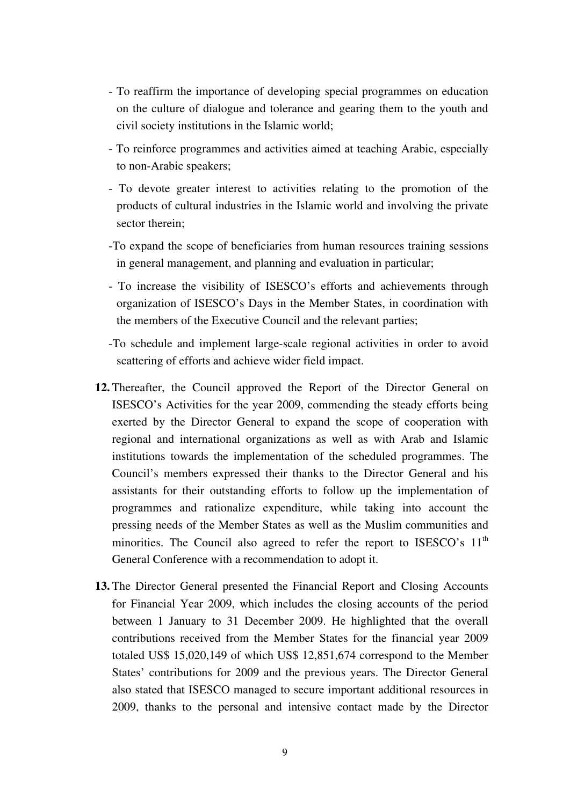- To reaffirm the importance of developing special programmes on education on the culture of dialogue and tolerance and gearing them to the youth and civil society institutions in the Islamic world;
- To reinforce programmes and activities aimed at teaching Arabic, especially to non-Arabic speakers;
- To devote greater interest to activities relating to the promotion of the products of cultural industries in the Islamic world and involving the private sector therein;
- -To expand the scope of beneficiaries from human resources training sessions in general management, and planning and evaluation in particular;
- To increase the visibility of ISESCO's efforts and achievements through organization of ISESCO's Days in the Member States, in coordination with the members of the Executive Council and the relevant parties;
- -To schedule and implement large-scale regional activities in order to avoid scattering of efforts and achieve wider field impact.
- **12.** Thereafter, the Council approved the Report of the Director General on ISESCO's Activities for the year 2009, commending the steady efforts being exerted by the Director General to expand the scope of cooperation with regional and international organizations as well as with Arab and Islamic institutions towards the implementation of the scheduled programmes. The Council's members expressed their thanks to the Director General and his assistants for their outstanding efforts to follow up the implementation of programmes and rationalize expenditure, while taking into account the pressing needs of the Member States as well as the Muslim communities and minorities. The Council also agreed to refer the report to ISESCO's  $11<sup>th</sup>$ General Conference with a recommendation to adopt it.
- **13.** The Director General presented the Financial Report and Closing Accounts for Financial Year 2009, which includes the closing accounts of the period between 1 January to 31 December 2009. He highlighted that the overall contributions received from the Member States for the financial year 2009 totaled US\$ 15,020,149 of which US\$ 12,851,674 correspond to the Member States' contributions for 2009 and the previous years. The Director General also stated that ISESCO managed to secure important additional resources in 2009, thanks to the personal and intensive contact made by the Director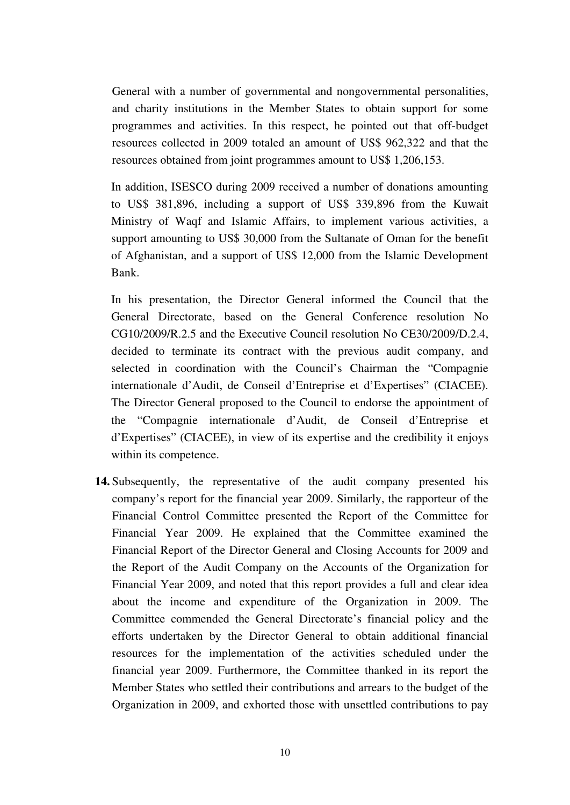General with a number of governmental and nongovernmental personalities, and charity institutions in the Member States to obtain support for some programmes and activities. In this respect, he pointed out that off-budget resources collected in 2009 totaled an amount of US\$ 962,322 and that the resources obtained from joint programmes amount to US\$ 1,206,153.

In addition, ISESCO during 2009 received a number of donations amounting to US\$ 381,896, including a support of US\$ 339,896 from the Kuwait Ministry of Waqf and Islamic Affairs, to implement various activities, a support amounting to US\$ 30,000 from the Sultanate of Oman for the benefit of Afghanistan, and a support of US\$ 12,000 from the Islamic Development Bank.

In his presentation, the Director General informed the Council that the General Directorate, based on the General Conference resolution No CG10/2009/R.2.5 and the Executive Council resolution No CE30/2009/D.2.4, decided to terminate its contract with the previous audit company, and selected in coordination with the Council's Chairman the "Compagnie internationale d'Audit, de Conseil d'Entreprise et d'Expertises" (CIACEE). The Director General proposed to the Council to endorse the appointment of the "Compagnie internationale d'Audit, de Conseil d'Entreprise et d'Expertises" (CIACEE), in view of its expertise and the credibility it enjoys within its competence.

**14.** Subsequently, the representative of the audit company presented his company's report for the financial year 2009. Similarly, the rapporteur of the Financial Control Committee presented the Report of the Committee for Financial Year 2009. He explained that the Committee examined the Financial Report of the Director General and Closing Accounts for 2009 and the Report of the Audit Company on the Accounts of the Organization for Financial Year 2009, and noted that this report provides a full and clear idea about the income and expenditure of the Organization in 2009. The Committee commended the General Directorate's financial policy and the efforts undertaken by the Director General to obtain additional financial resources for the implementation of the activities scheduled under the financial year 2009. Furthermore, the Committee thanked in its report the Member States who settled their contributions and arrears to the budget of the Organization in 2009, and exhorted those with unsettled contributions to pay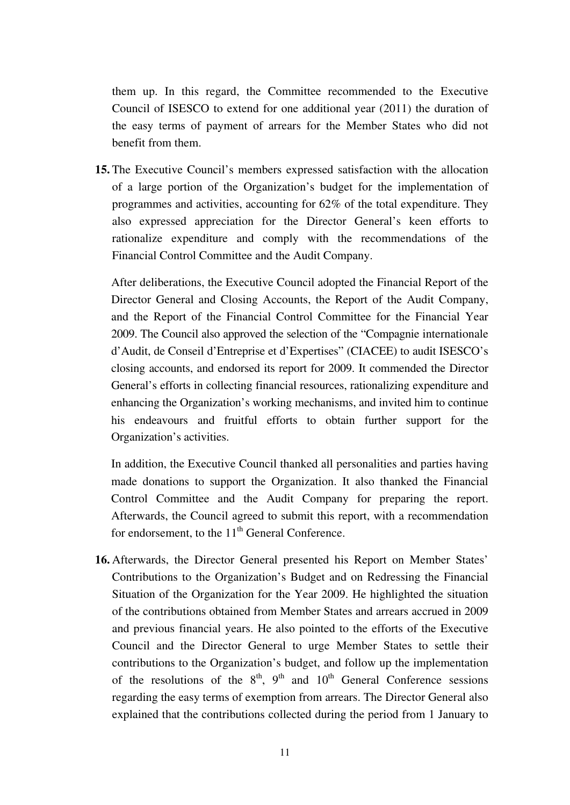them up. In this regard, the Committee recommended to the Executive Council of ISESCO to extend for one additional year (2011) the duration of the easy terms of payment of arrears for the Member States who did not benefit from them.

**15.** The Executive Council's members expressed satisfaction with the allocation of a large portion of the Organization's budget for the implementation of programmes and activities, accounting for 62% of the total expenditure. They also expressed appreciation for the Director General's keen efforts to rationalize expenditure and comply with the recommendations of the Financial Control Committee and the Audit Company.

After deliberations, the Executive Council adopted the Financial Report of the Director General and Closing Accounts, the Report of the Audit Company, and the Report of the Financial Control Committee for the Financial Year 2009. The Council also approved the selection of the "Compagnie internationale d'Audit, de Conseil d'Entreprise et d'Expertises" (CIACEE) to audit ISESCO's closing accounts, and endorsed its report for 2009. It commended the Director General's efforts in collecting financial resources, rationalizing expenditure and enhancing the Organization's working mechanisms, and invited him to continue his endeavours and fruitful efforts to obtain further support for the Organization's activities.

In addition, the Executive Council thanked all personalities and parties having made donations to support the Organization. It also thanked the Financial Control Committee and the Audit Company for preparing the report. Afterwards, the Council agreed to submit this report, with a recommendation for endorsement, to the  $11<sup>th</sup>$  General Conference.

**16.** Afterwards, the Director General presented his Report on Member States' Contributions to the Organization's Budget and on Redressing the Financial Situation of the Organization for the Year 2009. He highlighted the situation of the contributions obtained from Member States and arrears accrued in 2009 and previous financial years. He also pointed to the efforts of the Executive Council and the Director General to urge Member States to settle their contributions to the Organization's budget, and follow up the implementation of the resolutions of the  $8<sup>th</sup>$ ,  $9<sup>th</sup>$  and  $10<sup>th</sup>$  General Conference sessions regarding the easy terms of exemption from arrears. The Director General also explained that the contributions collected during the period from 1 January to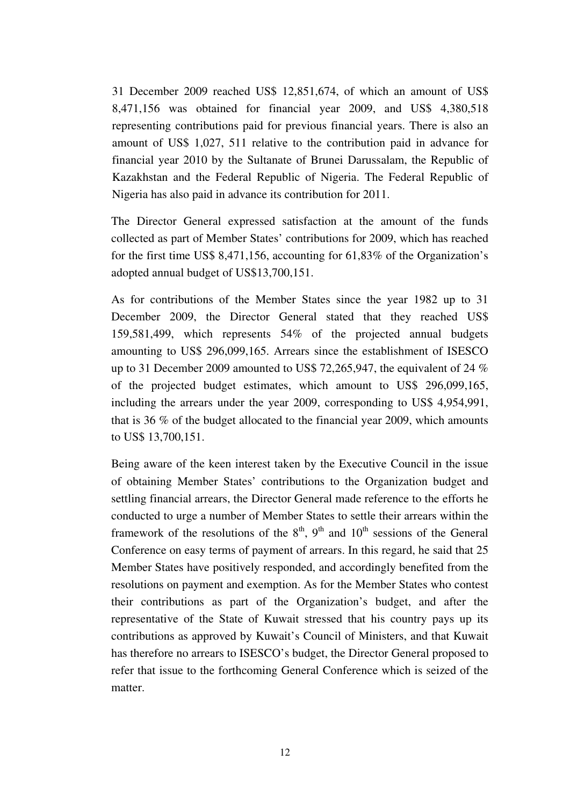31 December 2009 reached US\$ 12,851,674, of which an amount of US\$ 8,471,156 was obtained for financial year 2009, and US\$ 4,380,518 representing contributions paid for previous financial years. There is also an amount of US\$ 1,027, 511 relative to the contribution paid in advance for financial year 2010 by the Sultanate of Brunei Darussalam, the Republic of Kazakhstan and the Federal Republic of Nigeria. The Federal Republic of Nigeria has also paid in advance its contribution for 2011.

The Director General expressed satisfaction at the amount of the funds collected as part of Member States' contributions for 2009, which has reached for the first time US\$ 8,471,156, accounting for 61,83% of the Organization's adopted annual budget of US\$13,700,151.

As for contributions of the Member States since the year 1982 up to 31 December 2009, the Director General stated that they reached US\$ 159,581,499, which represents 54% of the projected annual budgets amounting to US\$ 296,099,165. Arrears since the establishment of ISESCO up to 31 December 2009 amounted to US\$ 72,265,947, the equivalent of 24 % of the projected budget estimates, which amount to US\$ 296,099,165, including the arrears under the year 2009, corresponding to US\$ 4,954,991, that is 36 % of the budget allocated to the financial year 2009, which amounts to US\$ 13,700,151.

Being aware of the keen interest taken by the Executive Council in the issue of obtaining Member States' contributions to the Organization budget and settling financial arrears, the Director General made reference to the efforts he conducted to urge a number of Member States to settle their arrears within the framework of the resolutions of the  $8<sup>th</sup>$ ,  $9<sup>th</sup>$  and  $10<sup>th</sup>$  sessions of the General Conference on easy terms of payment of arrears. In this regard, he said that 25 Member States have positively responded, and accordingly benefited from the resolutions on payment and exemption. As for the Member States who contest their contributions as part of the Organization's budget, and after the representative of the State of Kuwait stressed that his country pays up its contributions as approved by Kuwait's Council of Ministers, and that Kuwait has therefore no arrears to ISESCO's budget, the Director General proposed to refer that issue to the forthcoming General Conference which is seized of the matter.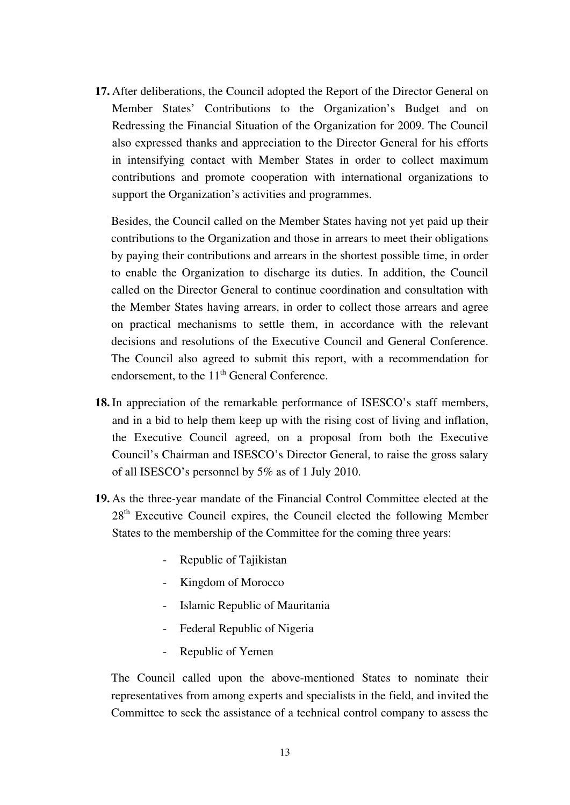**17.** After deliberations, the Council adopted the Report of the Director General on Member States' Contributions to the Organization's Budget and on Redressing the Financial Situation of the Organization for 2009. The Council also expressed thanks and appreciation to the Director General for his efforts in intensifying contact with Member States in order to collect maximum contributions and promote cooperation with international organizations to support the Organization's activities and programmes.

Besides, the Council called on the Member States having not yet paid up their contributions to the Organization and those in arrears to meet their obligations by paying their contributions and arrears in the shortest possible time, in order to enable the Organization to discharge its duties. In addition, the Council called on the Director General to continue coordination and consultation with the Member States having arrears, in order to collect those arrears and agree on practical mechanisms to settle them, in accordance with the relevant decisions and resolutions of the Executive Council and General Conference. The Council also agreed to submit this report, with a recommendation for endorsement, to the 11<sup>th</sup> General Conference.

- **18.** In appreciation of the remarkable performance of ISESCO's staff members, and in a bid to help them keep up with the rising cost of living and inflation, the Executive Council agreed, on a proposal from both the Executive Council's Chairman and ISESCO's Director General, to raise the gross salary of all ISESCO's personnel by 5% as of 1 July 2010.
- **19.** As the three-year mandate of the Financial Control Committee elected at the 28<sup>th</sup> Executive Council expires, the Council elected the following Member States to the membership of the Committee for the coming three years:
	- Republic of Tajikistan
	- Kingdom of Morocco
	- Islamic Republic of Mauritania
	- Federal Republic of Nigeria
	- Republic of Yemen

The Council called upon the above-mentioned States to nominate their representatives from among experts and specialists in the field, and invited the Committee to seek the assistance of a technical control company to assess the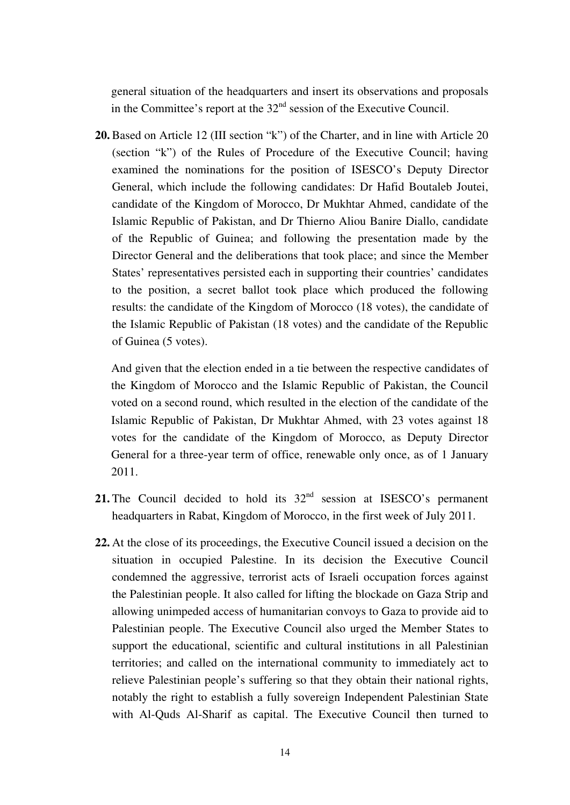general situation of the headquarters and insert its observations and proposals in the Committee's report at the  $32<sup>nd</sup>$  session of the Executive Council.

**20.** Based on Article 12 (III section "k") of the Charter, and in line with Article 20 (section "k") of the Rules of Procedure of the Executive Council; having examined the nominations for the position of ISESCO's Deputy Director General, which include the following candidates: Dr Hafid Boutaleb Joutei, candidate of the Kingdom of Morocco, Dr Mukhtar Ahmed, candidate of the Islamic Republic of Pakistan, and Dr Thierno Aliou Banire Diallo, candidate of the Republic of Guinea; and following the presentation made by the Director General and the deliberations that took place; and since the Member States' representatives persisted each in supporting their countries' candidates to the position, a secret ballot took place which produced the following results: the candidate of the Kingdom of Morocco (18 votes), the candidate of the Islamic Republic of Pakistan (18 votes) and the candidate of the Republic of Guinea (5 votes).

And given that the election ended in a tie between the respective candidates of the Kingdom of Morocco and the Islamic Republic of Pakistan, the Council voted on a second round, which resulted in the election of the candidate of the Islamic Republic of Pakistan, Dr Mukhtar Ahmed, with 23 votes against 18 votes for the candidate of the Kingdom of Morocco, as Deputy Director General for a three-year term of office, renewable only once, as of 1 January 2011.

- **21.** The Council decided to hold its  $32<sup>nd</sup>$  session at ISESCO's permanent headquarters in Rabat, Kingdom of Morocco, in the first week of July 2011.
- **22.** At the close of its proceedings, the Executive Council issued a decision on the situation in occupied Palestine. In its decision the Executive Council condemned the aggressive, terrorist acts of Israeli occupation forces against the Palestinian people. It also called for lifting the blockade on Gaza Strip and allowing unimpeded access of humanitarian convoys to Gaza to provide aid to Palestinian people. The Executive Council also urged the Member States to support the educational, scientific and cultural institutions in all Palestinian territories; and called on the international community to immediately act to relieve Palestinian people's suffering so that they obtain their national rights, notably the right to establish a fully sovereign Independent Palestinian State with Al-Quds Al-Sharif as capital. The Executive Council then turned to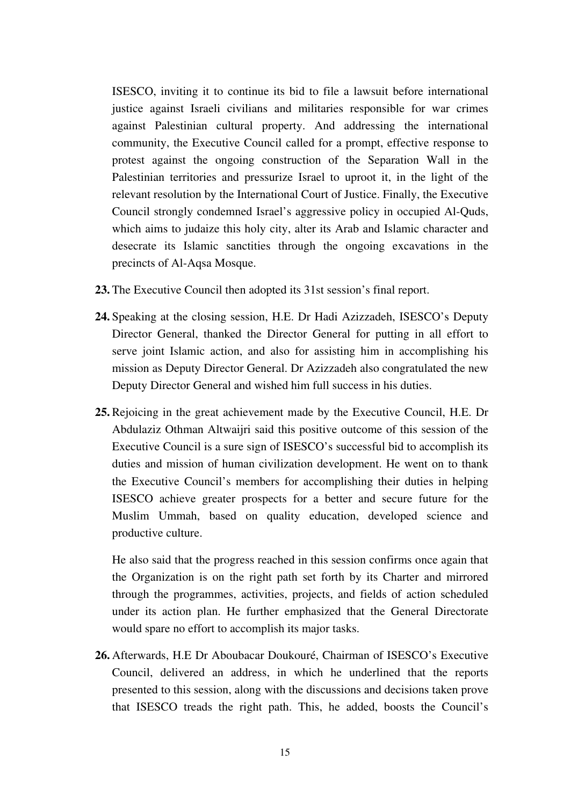ISESCO, inviting it to continue its bid to file a lawsuit before international justice against Israeli civilians and militaries responsible for war crimes against Palestinian cultural property. And addressing the international community, the Executive Council called for a prompt, effective response to protest against the ongoing construction of the Separation Wall in the Palestinian territories and pressurize Israel to uproot it, in the light of the relevant resolution by the International Court of Justice. Finally, the Executive Council strongly condemned Israel's aggressive policy in occupied Al-Quds, which aims to judaize this holy city, alter its Arab and Islamic character and desecrate its Islamic sanctities through the ongoing excavations in the precincts of Al-Aqsa Mosque.

- **23.** The Executive Council then adopted its 31st session's final report.
- **24.** Speaking at the closing session, H.E. Dr Hadi Azizzadeh, ISESCO's Deputy Director General, thanked the Director General for putting in all effort to serve joint Islamic action, and also for assisting him in accomplishing his mission as Deputy Director General. Dr Azizzadeh also congratulated the new Deputy Director General and wished him full success in his duties.
- **25.** Rejoicing in the great achievement made by the Executive Council, H.E. Dr Abdulaziz Othman Altwaijri said this positive outcome of this session of the Executive Council is a sure sign of ISESCO's successful bid to accomplish its duties and mission of human civilization development. He went on to thank the Executive Council's members for accomplishing their duties in helping ISESCO achieve greater prospects for a better and secure future for the Muslim Ummah, based on quality education, developed science and productive culture.

He also said that the progress reached in this session confirms once again that the Organization is on the right path set forth by its Charter and mirrored through the programmes, activities, projects, and fields of action scheduled under its action plan. He further emphasized that the General Directorate would spare no effort to accomplish its major tasks.

**26.** Afterwards, H.E Dr Aboubacar Doukouré, Chairman of ISESCO's Executive Council, delivered an address, in which he underlined that the reports presented to this session, along with the discussions and decisions taken prove that ISESCO treads the right path. This, he added, boosts the Council's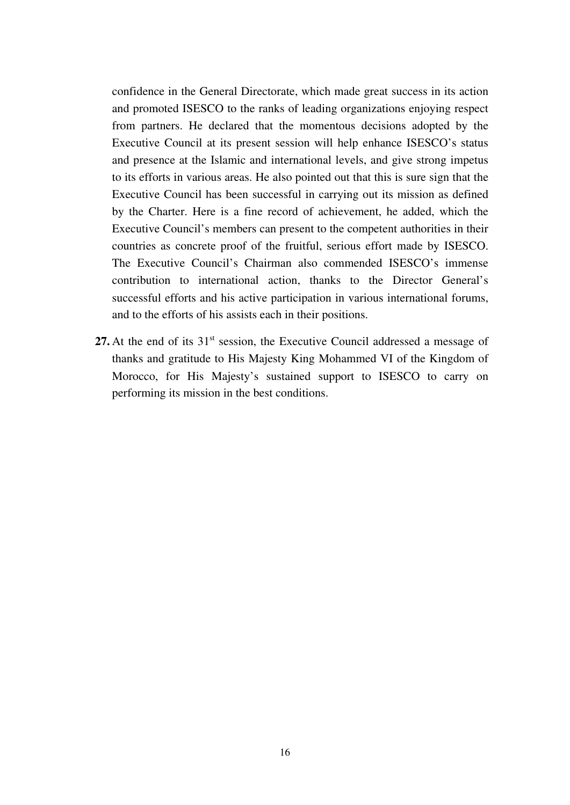confidence in the General Directorate, which made great success in its action and promoted ISESCO to the ranks of leading organizations enjoying respect from partners. He declared that the momentous decisions adopted by the Executive Council at its present session will help enhance ISESCO's status and presence at the Islamic and international levels, and give strong impetus to its efforts in various areas. He also pointed out that this is sure sign that the Executive Council has been successful in carrying out its mission as defined by the Charter. Here is a fine record of achievement, he added, which the Executive Council's members can present to the competent authorities in their countries as concrete proof of the fruitful, serious effort made by ISESCO. The Executive Council's Chairman also commended ISESCO's immense contribution to international action, thanks to the Director General's successful efforts and his active participation in various international forums, and to the efforts of his assists each in their positions.

**27.** At the end of its  $31<sup>st</sup>$  session, the Executive Council addressed a message of thanks and gratitude to His Majesty King Mohammed VI of the Kingdom of Morocco, for His Majesty's sustained support to ISESCO to carry on performing its mission in the best conditions.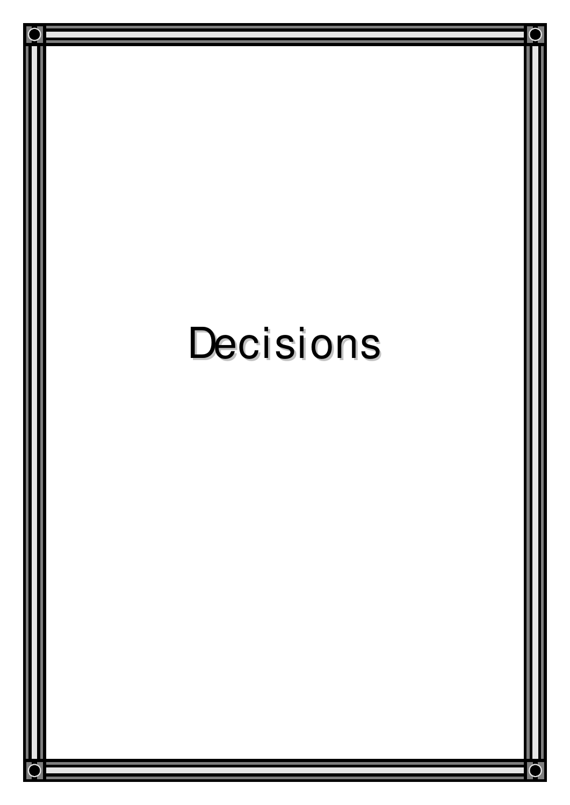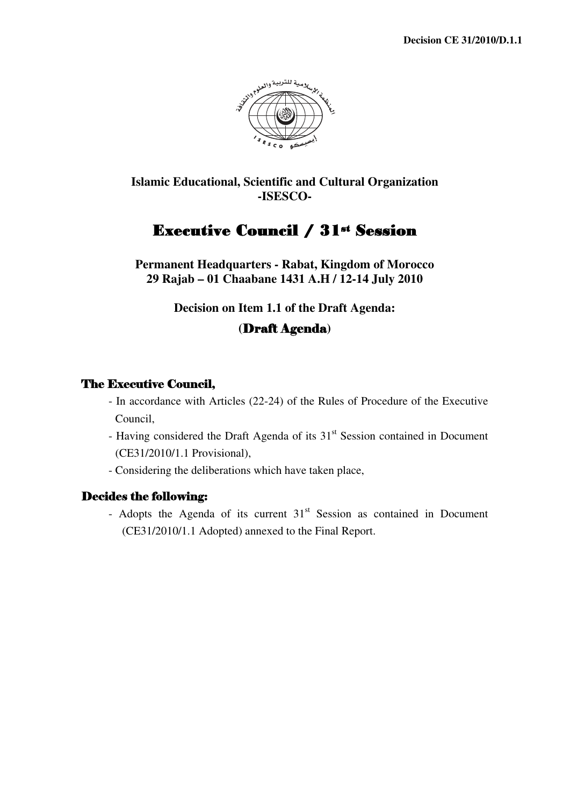

# Executive Council / 31st Session

**Permanent Headquarters - Rabat, Kingdom of Morocco 29 Rajab – 01 Chaabane 1431 A.H / 12-14 July 2010** 

**Decision on Item 1.1 of the Draft Agenda:** 

# **(**Draft Agenda**)**

## The Executive Council,

- In accordance with Articles (22-24) of the Rules of Procedure of the Executive Council,
- Having considered the Draft Agenda of its 31<sup>st</sup> Session contained in Document (CE31/2010/1.1 Provisional),
- Considering the deliberations which have taken place,

## Decides the following:

- Adopts the Agenda of its current  $31<sup>st</sup>$  Session as contained in Document (CE31/2010/1.1 Adopted) annexed to the Final Report.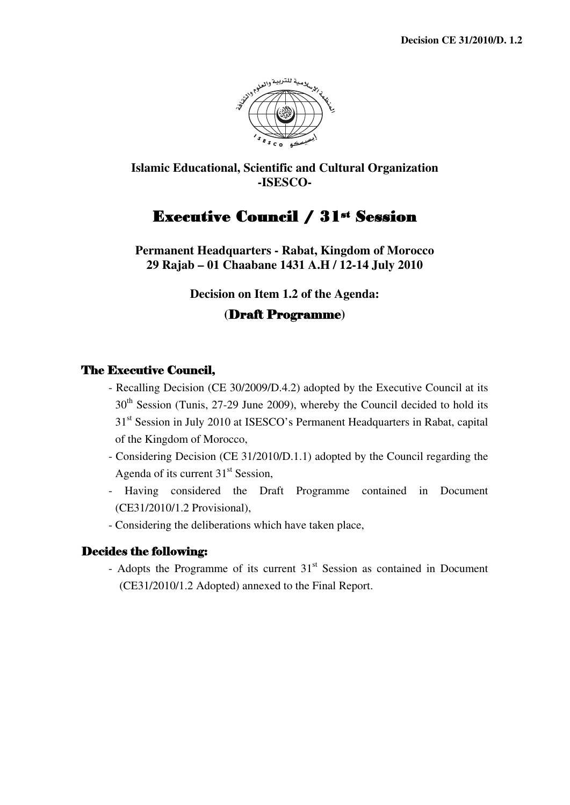

# Executive Council / 31st Session

**Permanent Headquarters - Rabat, Kingdom of Morocco 29 Rajab – 01 Chaabane 1431 A.H / 12-14 July 2010** 

**Decision on Item 1.2 of the Agenda:** 

# **(**Draft Programme**)**

## The Executive Council,

- Recalling Decision (CE 30/2009/D.4.2) adopted by the Executive Council at its  $30<sup>th</sup>$  Session (Tunis, 27-29 June 2009), whereby the Council decided to hold its 31<sup>st</sup> Session in July 2010 at ISESCO's Permanent Headquarters in Rabat, capital of the Kingdom of Morocco,
- Considering Decision (CE 31/2010/D.1.1) adopted by the Council regarding the Agenda of its current  $31<sup>st</sup>$  Session,
- Having considered the Draft Programme contained in Document (CE31/2010/1.2 Provisional),
- Considering the deliberations which have taken place,

## Decides the following:

- Adopts the Programme of its current  $31<sup>st</sup>$  Session as contained in Document (CE31/2010/1.2 Adopted) annexed to the Final Report.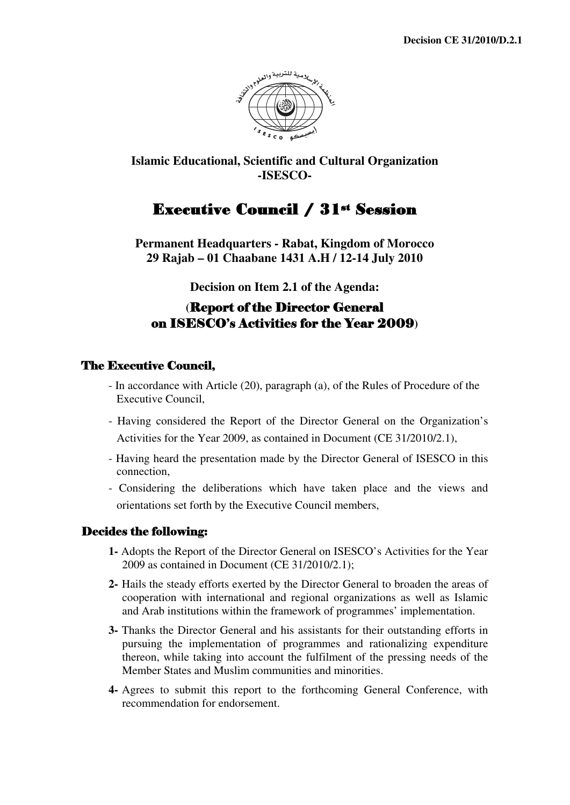

# Executive Council / 31st Session

**Permanent Headquarters - Rabat, Kingdom of Morocco 29 Rajab – 01 Chaabane 1431 A.H / 12-14 July 2010** 

**Decision on Item 2.1 of the Agenda:** 

# **(**Report of the Director General on ISESCO's Activities for the Year 2009**)**

# The Executive Council,

- In accordance with Article (20), paragraph (a), of the Rules of Procedure of the Executive Council,
- Having considered the Report of the Director General on the Organization's Activities for the Year 2009, as contained in Document (CE 31/2010/2.1),
- Having heard the presentation made by the Director General of ISESCO in this connection,
- Considering the deliberations which have taken place and the views and orientations set forth by the Executive Council members,

# Decides the following:

- **1-** Adopts the Report of the Director General on ISESCO's Activities for the Year 2009 as contained in Document (CE 31/2010/2.1);
- **2-** Hails the steady efforts exerted by the Director General to broaden the areas of cooperation with international and regional organizations as well as Islamic and Arab institutions within the framework of programmes' implementation.
- **3-** Thanks the Director General and his assistants for their outstanding efforts in pursuing the implementation of programmes and rationalizing expenditure thereon, while taking into account the fulfilment of the pressing needs of the Member States and Muslim communities and minorities.
- **4-** Agrees to submit this report to the forthcoming General Conference, with recommendation for endorsement.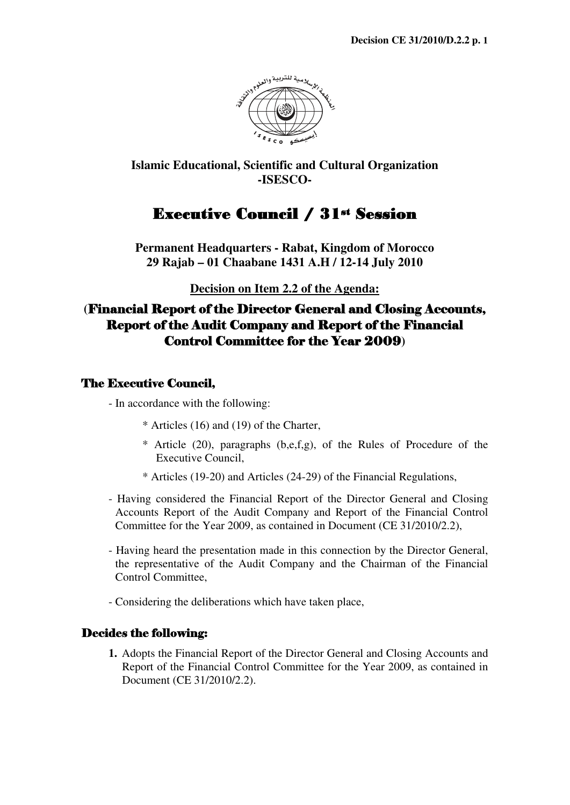

# Executive Council / 31st Session

**Permanent Headquarters - Rabat, Kingdom of Morocco 29 Rajab – 01 Chaabane 1431 A.H / 12-14 July 2010** 

**Decision on Item 2.2 of the Agenda:**

# **(**Financial Report of the Director General and Closing Accounts, Report of the Audit Company and Report of the Financial Control Committee for the Year 2009**)**

## The Executive Council,

- In accordance with the following:

- \* Articles (16) and (19) of the Charter,
- \* Article (20), paragraphs (b,e,f,g), of the Rules of Procedure of the Executive Council,
- \* Articles (19-20) and Articles (24-29) of the Financial Regulations,
- Having considered the Financial Report of the Director General and Closing Accounts Report of the Audit Company and Report of the Financial Control Committee for the Year 2009, as contained in Document (CE 31/2010/2.2),
- Having heard the presentation made in this connection by the Director General, the representative of the Audit Company and the Chairman of the Financial Control Committee,
- Considering the deliberations which have taken place,

## Decides the following:

**1.** Adopts the Financial Report of the Director General and Closing Accounts and Report of the Financial Control Committee for the Year 2009, as contained in Document (CE 31/2010/2.2).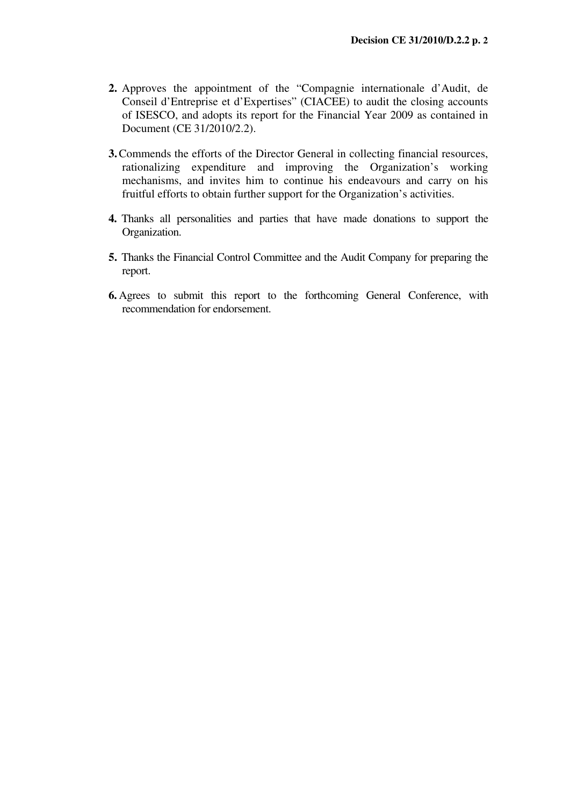- **2.** Approves the appointment of the "Compagnie internationale d'Audit, de Conseil d'Entreprise et d'Expertises" (CIACEE) to audit the closing accounts of ISESCO, and adopts its report for the Financial Year 2009 as contained in Document (CE 31/2010/2.2).
- **3.**Commends the efforts of the Director General in collecting financial resources, rationalizing expenditure and improving the Organization's working mechanisms, and invites him to continue his endeavours and carry on his fruitful efforts to obtain further support for the Organization's activities.
- **4.** Thanks all personalities and parties that have made donations to support the Organization.
- **5.** Thanks the Financial Control Committee and the Audit Company for preparing the report.
- **6.** Agrees to submit this report to the forthcoming General Conference, with recommendation for endorsement.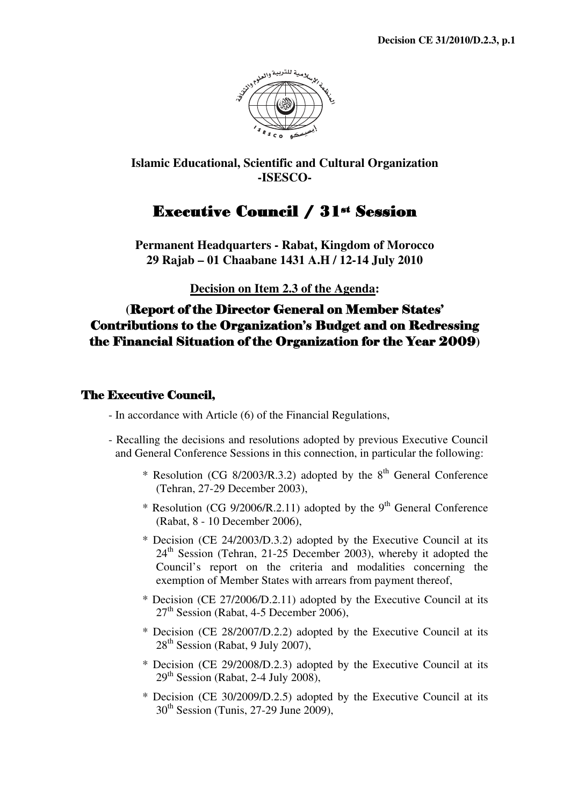

# Executive Council / 31st Session

**Permanent Headquarters - Rabat, Kingdom of Morocco 29 Rajab – 01 Chaabane 1431 A.H / 12-14 July 2010** 

**Decision on Item 2.3 of the Agenda:** 

# **(**Report of the Director General on Member States' Contributions to the Organization's Budget and on Redressing the Financial Situation of the Organization for the Year 2009**)**

## The Executive Council,

- In accordance with Article (6) of the Financial Regulations,
- Recalling the decisions and resolutions adopted by previous Executive Council and General Conference Sessions in this connection, in particular the following:
	- \* Resolution (CG 8/2003/R.3.2) adopted by the  $8<sup>th</sup>$  General Conference (Tehran, 27-29 December 2003),
	- \* Resolution (CG  $9/2006/R$ .2.11) adopted by the 9<sup>th</sup> General Conference (Rabat, 8 - 10 December 2006),
	- \* Decision (CE 24/2003/D.3.2) adopted by the Executive Council at its  $24<sup>th</sup>$  Session (Tehran, 21-25 December 2003), whereby it adopted the Council's report on the criteria and modalities concerning the exemption of Member States with arrears from payment thereof,
	- \* Decision (CE 27/2006/D.2.11) adopted by the Executive Council at its  $27<sup>th</sup>$  Session (Rabat, 4-5 December 2006),
	- \* Decision (CE 28/2007/D.2.2) adopted by the Executive Council at its 28<sup>th</sup> Session (Rabat, 9 July 2007),
	- \* Decision (CE 29/2008/D.2.3) adopted by the Executive Council at its  $29<sup>th</sup>$  Session (Rabat, 2-4 July 2008),
	- \* Decision (CE 30/2009/D.2.5) adopted by the Executive Council at its  $30<sup>th</sup>$  Session (Tunis, 27-29 June 2009),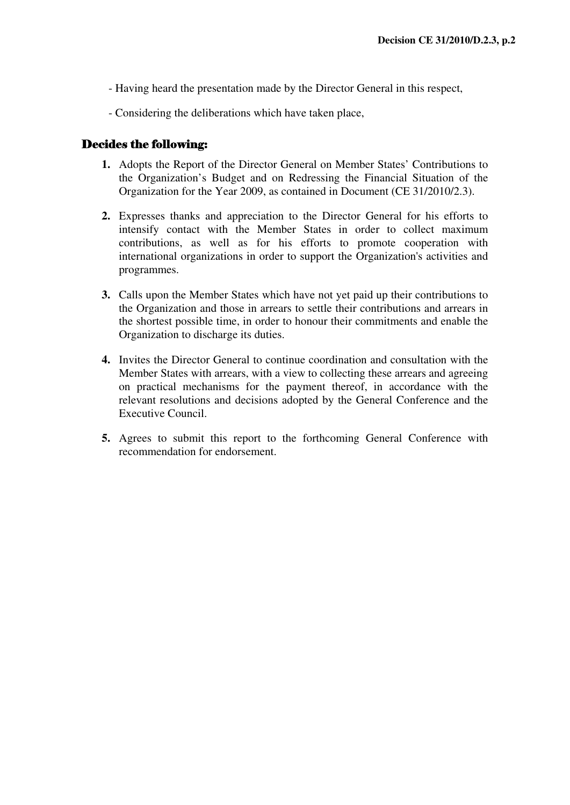- Having heard the presentation made by the Director General in this respect,
- Considering the deliberations which have taken place,

#### Decides the following:

- **1.** Adopts the Report of the Director General on Member States' Contributions to the Organization's Budget and on Redressing the Financial Situation of the Organization for the Year 2009, as contained in Document (CE 31/2010/2.3).
- **2.** Expresses thanks and appreciation to the Director General for his efforts to intensify contact with the Member States in order to collect maximum contributions, as well as for his efforts to promote cooperation with international organizations in order to support the Organization's activities and programmes.
- **3.** Calls upon the Member States which have not yet paid up their contributions to the Organization and those in arrears to settle their contributions and arrears in the shortest possible time, in order to honour their commitments and enable the Organization to discharge its duties.
- **4.** Invites the Director General to continue coordination and consultation with the Member States with arrears, with a view to collecting these arrears and agreeing on practical mechanisms for the payment thereof, in accordance with the relevant resolutions and decisions adopted by the General Conference and the Executive Council.
- **5.** Agrees to submit this report to the forthcoming General Conference with recommendation for endorsement.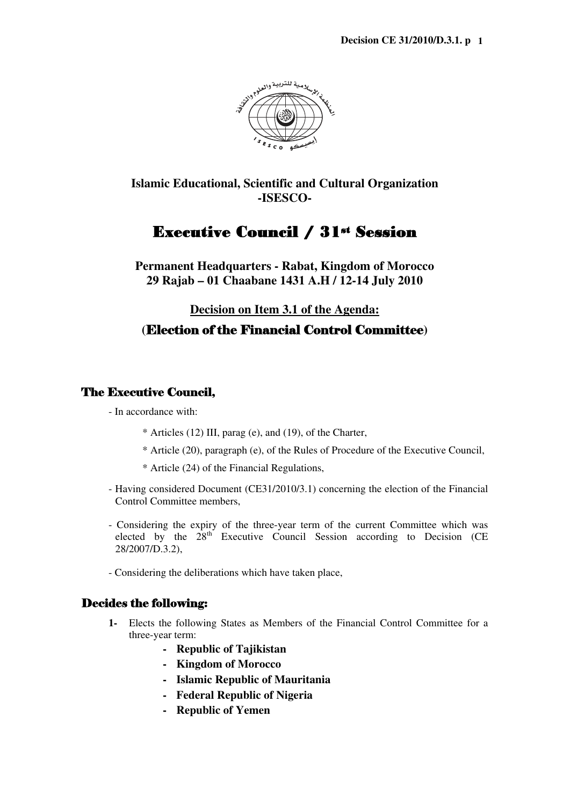

# Executive Council / 31st Session

**Permanent Headquarters - Rabat, Kingdom of Morocco 29 Rajab – 01 Chaabane 1431 A.H / 12-14 July 2010** 

**Decision on Item 3.1 of the Agenda:**

## **(**Election of the Financial Control Committee**)**

#### The Executive Council,

- In accordance with:

- \* Articles (12) III, parag (e), and (19), of the Charter,
- \* Article (20), paragraph (e), of the Rules of Procedure of the Executive Council,
- \* Article (24) of the Financial Regulations,
- Having considered Document (CE31/2010/3.1) concerning the election of the Financial Control Committee members,
- Considering the expiry of the three-year term of the current Committee which was elected by the  $28<sup>th</sup>$  Executive Council Session according to Decision (CE 28/2007/D.3.2),
- Considering the deliberations which have taken place,

#### Decides the following:

- **1-** Elects the following States as Members of the Financial Control Committee for a three-year term:
	- **- Republic of Tajikistan**
	- **- Kingdom of Morocco**
	- **- Islamic Republic of Mauritania**
	- **- Federal Republic of Nigeria**
	- **- Republic of Yemen**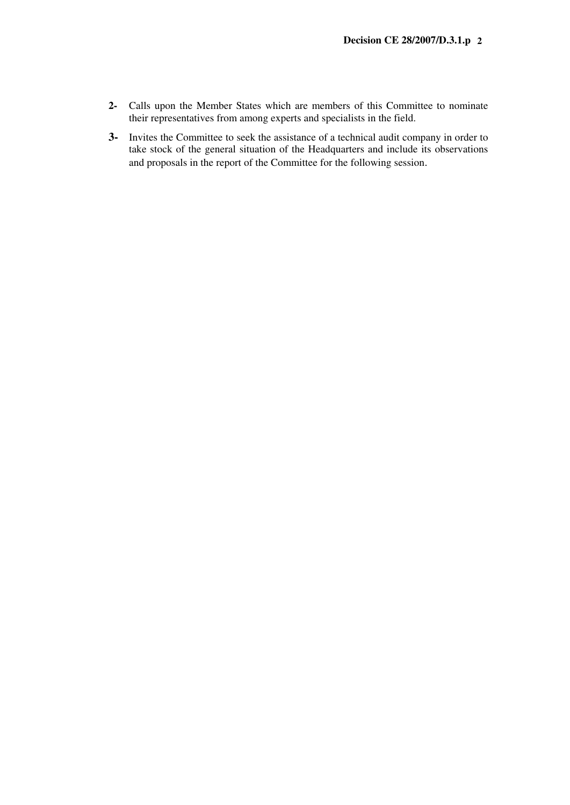- **2-** Calls upon the Member States which are members of this Committee to nominate their representatives from among experts and specialists in the field.
- **3-** Invites the Committee to seek the assistance of a technical audit company in order to take stock of the general situation of the Headquarters and include its observations and proposals in the report of the Committee for the following session.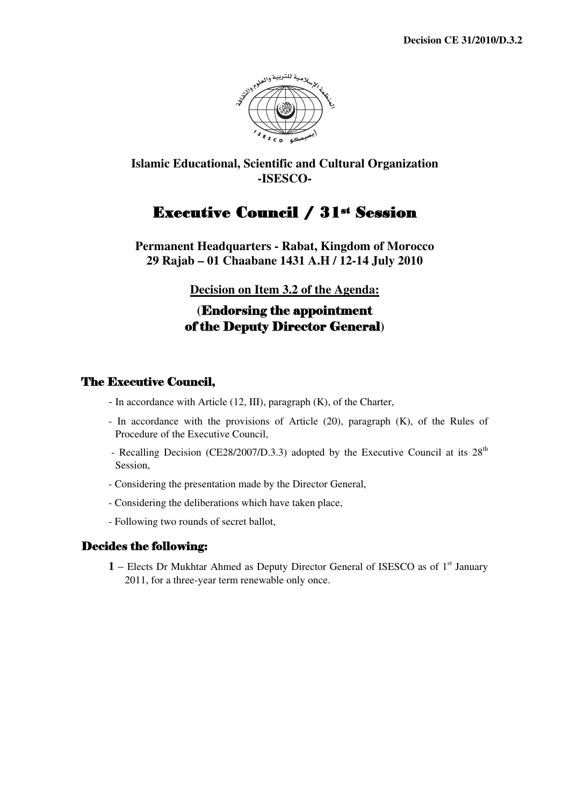

# Executive Council / 31st Session

**Permanent Headquarters - Rabat, Kingdom of Morocco 29 Rajab – 01 Chaabane 1431 A.H / 12-14 July 2010** 

**Decision on Item 3.2 of the Agenda:**

# **(**Endorsing the appointment of the Deputy Director General**)**

# The Executive Council,

- In accordance with Article (12, III), paragraph (K), of the Charter,
- In accordance with the provisions of Article (20), paragraph (K), of the Rules of Procedure of the Executive Council,
- Recalling Decision (CE28/2007/D.3.3) adopted by the Executive Council at its  $28<sup>th</sup>$ Session,
- Considering the presentation made by the Director General,
- Considering the deliberations which have taken place,
- Following two rounds of secret ballot,

## Decides the following:

**1** – Elects Dr Mukhtar Ahmed as Deputy Director General of ISESCO as of 1st January 2011, for a three-year term renewable only once.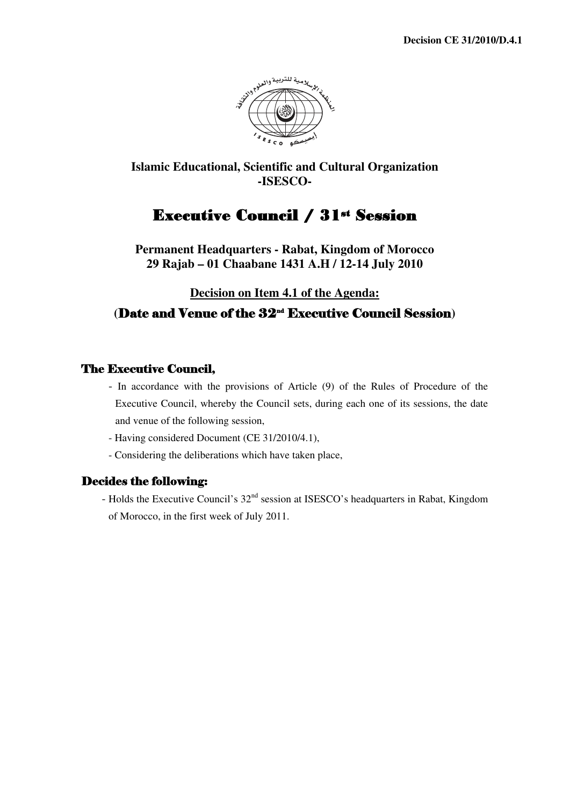

# Executive Council / 31st Session

**Permanent Headquarters - Rabat, Kingdom of Morocco 29 Rajab – 01 Chaabane 1431 A.H / 12-14 July 2010** 

**Decision on Item 4.1 of the Agenda:**

# **(**Date and Venue of the 32nd Executive Council Session**)**

## The Executive Council,

- In accordance with the provisions of Article (9) of the Rules of Procedure of the Executive Council, whereby the Council sets, during each one of its sessions, the date and venue of the following session,
- Having considered Document (CE 31/2010/4.1),
- Considering the deliberations which have taken place,

## Decides the following:

- Holds the Executive Council's 32<sup>nd</sup> session at ISESCO's headquarters in Rabat, Kingdom of Morocco, in the first week of July 2011.